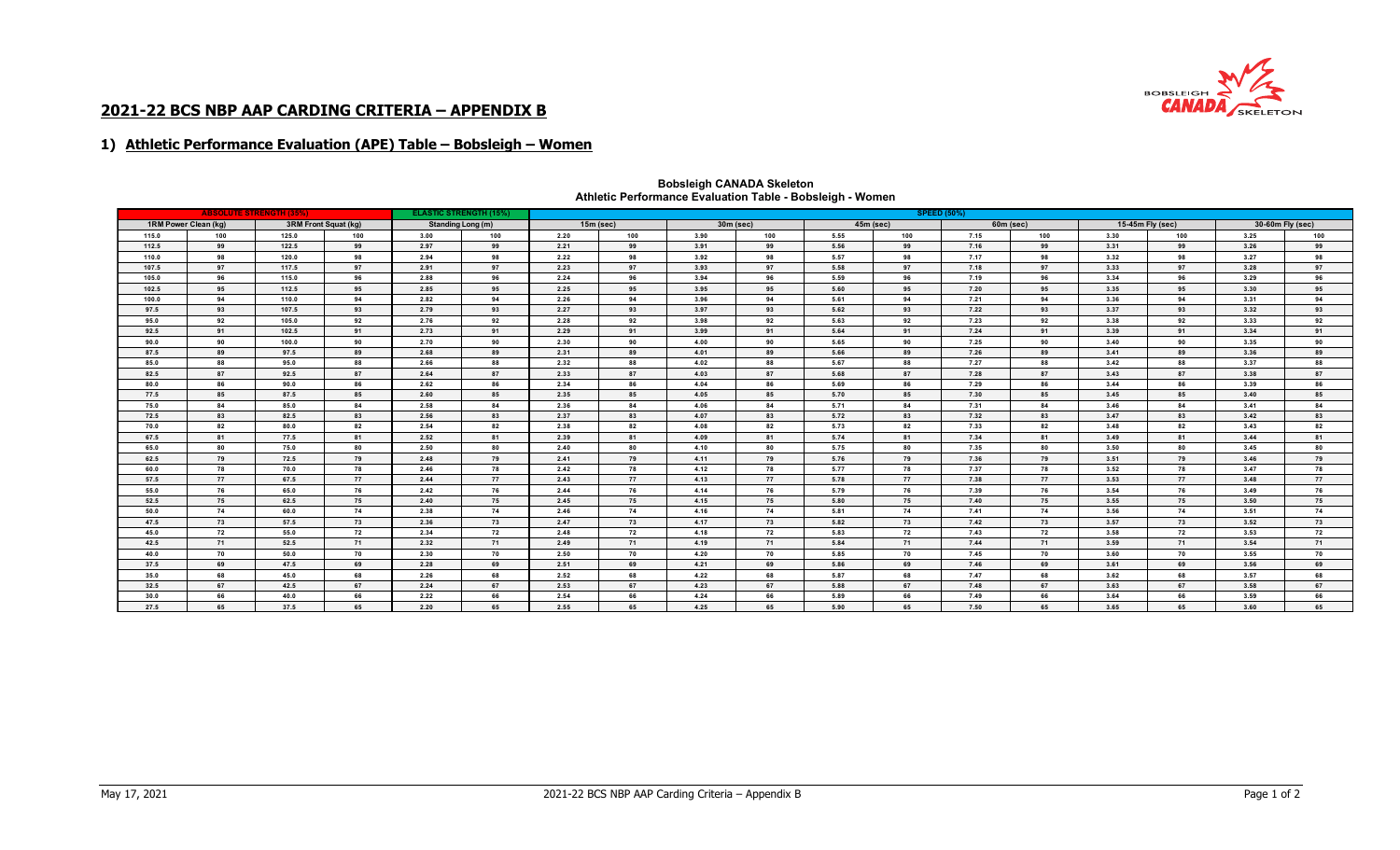

# **2021-22 BCS NBP AAP CARDING CRITERIA – APPENDIX B**

### **1) Athletic Performance Evaluation (APE) Table – Bobsleigh – Women**

|                                              |     | <b>ABSOLUTE STRENGTH (35%)</b> |     | <b>SPEED (50%)</b><br><b>ELASTIC STRENGTH (15%)</b> |     |             |     |             |     |             |     |                  |     |                  |     |      |     |
|----------------------------------------------|-----|--------------------------------|-----|-----------------------------------------------------|-----|-------------|-----|-------------|-----|-------------|-----|------------------|-----|------------------|-----|------|-----|
| 1RM Power Clean (kg)<br>3RM Front Squat (kg) |     | Standing Long (m)              |     | $15m$ (sec)                                         |     | $30m$ (sec) |     | $45m$ (sec) |     | $60m$ (sec) |     | 15-45m Fly (sec) |     | 30-60m Fly (sec) |     |      |     |
| 115.0                                        | 100 | 125.0                          | 100 | 3.00                                                | 100 | 2.20        | 100 | 3.90        | 100 | 5.55        | 100 | 7.15             | 100 | 3.30             | 100 | 3.25 | 100 |
| 112.5                                        | 99  | 122.5                          | 99  | 2.97                                                | 99  | 2.21        | 99  | 3.91        | 99  | 5.56        | 99  | 7.16             | 99  | 3.31             | 99  | 3.26 | 99  |
| 110.0                                        | 98  | 120.0                          | 98  | 2.94                                                | 98  | 2.22        | 98  | 3.92        | 98  | 5.57        | 98  | 7.17             | 98  | 3.32             | 98  | 3.27 | 98  |
| 107.5                                        | 97  | 117.5                          | 97  | 2.91                                                | 97  | 2.23        | 97  | 3.93        | 97  | 5.58        | 97  | 7.18             | 97  | 3.33             | 97  | 3.28 | 97  |
| 105.0                                        | 96  | 115.0                          | 96  | 2.88                                                | 96  | 2.24        | 96  | 3.94        | 96  | 5.59        | 96  | 7.19             | 96  | 3.34             | 96  | 3.29 | 96  |
| 102.5                                        | 95  | 112.5                          | 95  | 2.85                                                | 95  | 2.25        | 95  | 3.95        | 95  | 5.60        | 95  | 7.20             | 95  | 3.35             | 95  | 3.30 | 95  |
| 100.0                                        | 94  | 110.0                          | 94  | 2.82                                                | 94  | 2.26        | 94  | 3.96        | 94  | 5.61        | 94  | 7.21             | 94  | 3.36             | 94  | 3.31 | 94  |
| 97.5                                         | 93  | 107.5                          | 93  | 2.79                                                | 93  | 2.27        | 93  | 3.97        | 93  | 5.62        | 93  | 7.22             | 93  | 3.37             | 93  | 3.32 | 93  |
| 95.0                                         | 92  | 105.0                          | 92  | 2.76                                                | 92  | 2.28        | 92  | 3.98        | 92  | 5.63        | 92  | 7.23             | 92  | 3.38             | 92  | 3.33 | 92  |
| 92.5                                         | 91  | 102.5                          | 91  | 2.73                                                | 91  | 2.29        | 91  | 3.99        | 91  | 5.64        | 91  | 7.24             | 91  | 3.39             | 91  | 3.34 | 91  |
| 90.0                                         | 90  | 100.0                          | 90  | 2.70                                                | 90  | 2.30        | 90  | 4.00        | 90  | 5.65        | 90  | 7.25             | 90  | 3.40             | 90  | 3.35 | 90  |
| 87.5                                         | 89  | 97.5                           | 89  | 2.68                                                | 89  | 2.31        | 89  | 4.01        | 89  | 5.66        | 89  | 7.26             | 89  | 3.41             | 89  | 3.36 | 89  |
| 85.0                                         | 88  | 95.0                           | 88  | 2.66                                                | 88  | 2.32        | 88  | 4.02        | 88  | 5.67        | 88  | 7.27             | 88  | 3.42             | 88  | 3.37 | 88  |
| 82.5                                         | 87  | 92.5                           | 87  | 2.64                                                | 87  | 2.33        | 87  | 4.03        | 87  | 5.68        | 87  | 7.28             | 87  | 3.43             | 87  | 3.38 | 87  |
| 80.0                                         | 86  | 90.0                           | 86  | 2.62                                                | 86  | 2.34        | 86  | 4.04        | 86  | 5.69        | 86  | 7.29             | 86  | 3.44             | 86  | 3.39 | 86  |
| 77.5                                         | 85  | 87.5                           | 85  | 2.60                                                | 85  | 2.35        | 85  | 4.05        | 85  | 5.70        | 85  | 7.30             | 85  | 3.45             | 85  | 3.40 | 85  |
| 75.0                                         | 84  | 85.0                           | 84  | 2.58                                                | 84  | 2.36        | 84  | 4.06        | 84  | 5.71        | 84  | 7.31             | 84  | 3.46             | 84  | 3.41 | 84  |
| 72.5                                         | 83  | 82.5                           | 83  | 2.56                                                | 83  | 2.37        | 83  | 4.07        | 83  | 5.72        | 83  | 7.32             | 83  | 3.47             | 83  | 3.42 | 83  |
| 70.0                                         | 82  | 80.0                           | 82  | 2.54                                                | 82  | 2.38        | 82  | 4.08        | 82  | 5.73        | 82  | 7.33             | 82  | 3.48             | 82  | 3.43 | 82  |
| 67.5                                         | 81  | 77.5                           | 81  | 2.52                                                | 81  | 2.39        | 81  | 4.09        | 81  | 5.74        | 81  | 7.34             | 81  | 3.49             | 81  | 3.44 | 81  |
| 65.0                                         | 80  | 75.0                           | 80  | 2.50                                                | 80  | 2.40        | 80  | 4.10        | 80  | 5.75        | 80  | 7.35             | 80  | 3.50             | 80  | 3.45 | 80  |
| 62.5                                         | 79  | 72.5                           | 79  | 2.48                                                | 79  | 2.41        | 79  | 4.11        | 79  | 5.76        | 79  | 7.36             | 79  | 3.51             | 79  | 3.46 | 79  |
| 60.0                                         | 78  | 70.0                           | 78  | 2.46                                                | 78  | 2.42        | 78  | 4.12        | 78  | 5.77        | 78  | 7.37             | 78  | 3.52             | 78  | 3.47 | 78  |
| 57.5                                         | 77  | 67.5                           | 77  | 2.44                                                | 77  | 2.43        | 77  | 4.13        | 77  | 5.78        | 77  | 7.38             | 77  | 3.53             | 77  | 3.48 | 77  |
| 55.0                                         | 76  | 65.0                           | 76  | 2.42                                                | 76  | 2.44        | 76  | 4.14        | 76  | 5.79        | 76  | 7.39             | 76  | 3.54             | 76  | 3.49 | 76  |
| 52.5                                         | 75  | 62.5                           | 75  | 2.40                                                | 75  | 2.45        | 75  | 4.15        | 75  | 5.80        | 75  | 7.40             | 75  | 3.55             | 75  | 3.50 | 75  |
| 50.0                                         | 74  | 60.0                           | 74  | 2.38                                                | 74  | 2.46        | 74  | 4.16        | 74  | 5.81        | 74  | 7.41             | 74  | 3.56             | 74  | 3.51 | 74  |
| 47.5                                         | 73  | 57.5                           | 73  | 2.36                                                | 73  | 2.47        | 73  | 4.17        | 73  | 5.82        | 73  | 7.42             | 73  | 3.57             | 73  | 3.52 | 73  |
| 45.0                                         | 72  | 55.0                           | 72  | 2.34                                                | 72  | 2.48        | 72  | 4.18        | 72  | 5.83        | 72  | 7.43             | 72  | 3.58             | 72  | 3.53 | 72  |
| 42.5                                         | 71  | 52.5                           | 71  | 2.32                                                | 71  | 2.49        | 71  | 4.19        | 71  | 5.84        | 71  | 7.44             | 71  | 3.59             | 71  | 3.54 | 71  |
| 40.0                                         | 70  | 50.0                           | 70  | 2.30                                                | 70  | 2.50        | 70  | 4.20        | 70  | 5.85        | 70  | 7.45             | 70  | 3.60             | 70  | 3.55 | 70  |
| 37.5                                         | 69  | 47.5                           | 69  | 2.28                                                | 69  | 2.51        | 69  | 4.21        | 69  | 5.86        | 69  | 7.46             | 69  | 3.61             | 69  | 3.56 | 69  |
| 35.0                                         | 68  | 45.0                           | 68  | 2.26                                                | 68  | 2.52        | 68  | 4.22        | 68  | 5.87        | 68  | 7.47             | 68  | 3.62             | 68  | 3.57 | 68  |
| 32.5                                         | 67  | 42.5                           | 67  | 2.24                                                | 67  | 2.53        | 67  | 4.23        | 67  | 5.88        | 67  | 7.48             | 67  | 3.63             | 67  | 3.58 | 67  |
| 30.0                                         | 66  | 40.0                           | 66  | 2.22                                                | 66  | 2.54        | 66  | 4.24        | 66  | 5.89        | 66  | 7.49             | 66  | 3.64             | 66  | 3.59 | 66  |
| 27.5                                         | 65  | 37.5                           | 65  | 2.20                                                | 65  | 2.55        | 65  | 4.25        | 65  | 5.90        | 65  | 7.50             | 65  | 3.65             | 65  | 3.60 | 65  |

#### **Athletic Performance Evaluation Table - Bobsleigh - Women Bobsleigh CANADA Skeleton**